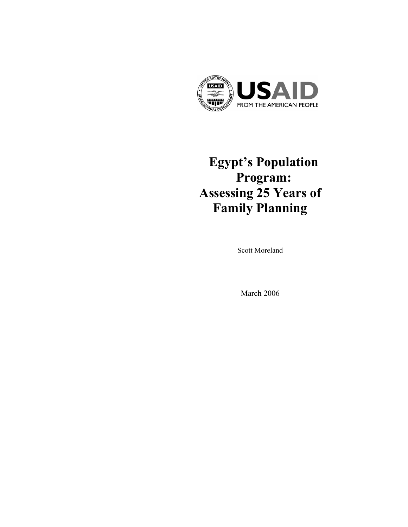

# **Egypt's Population Program: Assessing 25 Years of Family Planning**

Scott Moreland

March 2006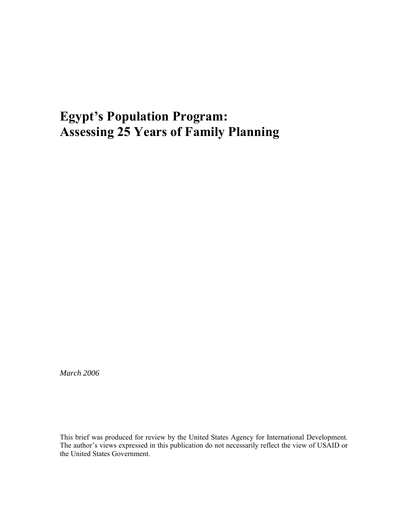## **Egypt's Population Program: Assessing 25 Years of Family Planning**

*March 2006* 

This brief was produced for review by the United States Agency for International Development. The author's views expressed in this publication do not necessarily reflect the view of USAID or the United States Government.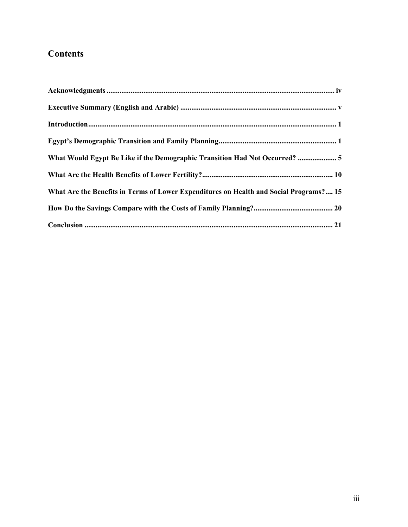## **Contents**

| What Would Egypt Be Like if the Demographic Transition Had Not Occurred?  5            |
|----------------------------------------------------------------------------------------|
|                                                                                        |
| What Are the Benefits in Terms of Lower Expenditures on Health and Social Programs? 15 |
|                                                                                        |
|                                                                                        |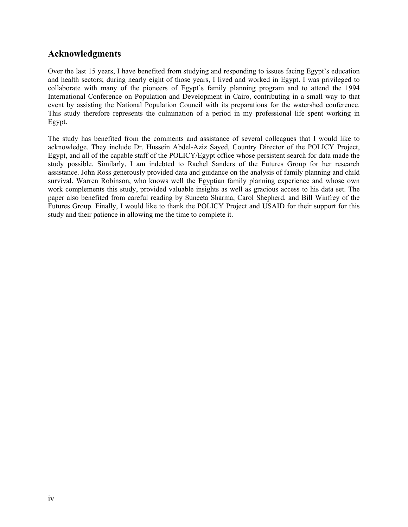## **Acknowledgments**

Over the last 15 years, I have benefited from studying and responding to issues facing Egypt's education and health sectors; during nearly eight of those years, I lived and worked in Egypt. I was privileged to collaborate with many of the pioneers of Egypt's family planning program and to attend the 1994 International Conference on Population and Development in Cairo, contributing in a small way to that event by assisting the National Population Council with its preparations for the watershed conference. This study therefore represents the culmination of a period in my professional life spent working in Egypt.

The study has benefited from the comments and assistance of several colleagues that I would like to acknowledge. They include Dr. Hussein Abdel-Aziz Sayed, Country Director of the POLICY Project, Egypt, and all of the capable staff of the POLICY/Egypt office whose persistent search for data made the study possible. Similarly, I am indebted to Rachel Sanders of the Futures Group for her research assistance. John Ross generously provided data and guidance on the analysis of family planning and child survival. Warren Robinson, who knows well the Egyptian family planning experience and whose own work complements this study, provided valuable insights as well as gracious access to his data set. The paper also benefited from careful reading by Suneeta Sharma, Carol Shepherd, and Bill Winfrey of the Futures Group. Finally, I would like to thank the POLICY Project and USAID for their support for this study and their patience in allowing me the time to complete it.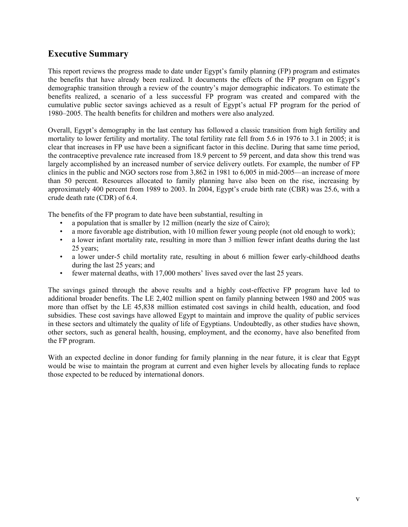## **Executive Summary**

This report reviews the progress made to date under Egypt's family planning (FP) program and estimates the benefits that have already been realized. It documents the effects of the FP program on Egypt's demographic transition through a review of the country's major demographic indicators. To estimate the benefits realized, a scenario of a less successful FP program was created and compared with the cumulative public sector savings achieved as a result of Egypt's actual FP program for the period of 1980–2005. The health benefits for children and mothers were also analyzed.

Overall, Egypt's demography in the last century has followed a classic transition from high fertility and mortality to lower fertility and mortality. The total fertility rate fell from 5.6 in 1976 to 3.1 in 2005; it is clear that increases in FP use have been a significant factor in this decline. During that same time period, the contraceptive prevalence rate increased from 18.9 percent to 59 percent, and data show this trend was largely accomplished by an increased number of service delivery outlets. For example, the number of FP clinics in the public and NGO sectors rose from 3,862 in 1981 to 6,005 in mid-2005—an increase of more than 50 percent. Resources allocated to family planning have also been on the rise, increasing by approximately 400 percent from 1989 to 2003. In 2004, Egypt's crude birth rate (CBR) was 25.6, with a crude death rate (CDR) of 6.4.

The benefits of the FP program to date have been substantial, resulting in

- a population that is smaller by 12 million (nearly the size of Cairo);
- a more favorable age distribution, with 10 million fewer young people (not old enough to work);
- a lower infant mortality rate, resulting in more than 3 million fewer infant deaths during the last 25 years;
- a lower under-5 child mortality rate, resulting in about 6 million fewer early-childhood deaths during the last 25 years; and
- fewer maternal deaths, with 17,000 mothers' lives saved over the last 25 years.

The savings gained through the above results and a highly cost-effective FP program have led to additional broader benefits. The LE 2,402 million spent on family planning between 1980 and 2005 was more than offset by the LE 45,838 million estimated cost savings in child health, education, and food subsidies. These cost savings have allowed Egypt to maintain and improve the quality of public services in these sectors and ultimately the quality of life of Egyptians. Undoubtedly, as other studies have shown, other sectors, such as general health, housing, employment, and the economy, have also benefited from the FP program.

With an expected decline in donor funding for family planning in the near future, it is clear that Egypt would be wise to maintain the program at current and even higher levels by allocating funds to replace those expected to be reduced by international donors.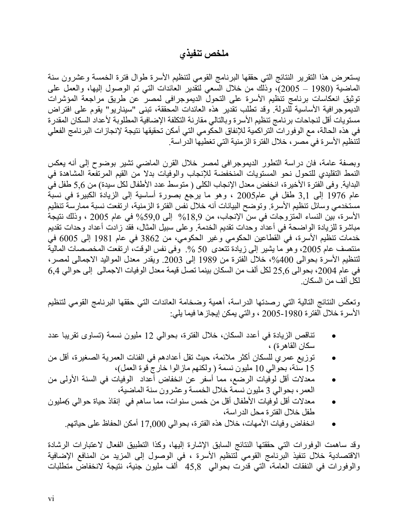## **ملخص تنفيذي**

يستعرض هذا التقرير النتائج التي حققها البرنامج القومي لتنظيم الأسرة طوال فترة الخمسة وعشرون سنة الماضية (1980 – 2005)، وذلك من خلال السعي لتقدير العائدات التي تم الوصول إليها، والعمل على توثيق انعكاسات برنامج تنظيم الأسرة على التحول الديموجرافى لمصر عن طريق مراجعة المؤشرات الديموجرافية الأساسية للدولة. وقد تطلب تقدير هذه العائدات المحققة، تبنى "سيناريو" يقوم على افتراض مستويات أقل لنجاحات برنامج تنظيم الأسرة وبالتالي مقارنة التكلفة الإضافية المطلوبة لأعداد السكان المقدرة في هذه الحالة، مع الوفورات التراكمية للإنفاق الحكومي التي أمكن تحقيقها نتيجة لإنجازات البرنامج الفعلي لتنظيم الأسرة في مصر، خلال الفترة الزمنية التي تغطيها الدراسة.

وبصفة عامة، فان دراسة التطور الديموجرافى لمصر خلال القرن الماضي تشير بوضوح إلى أنه يعكس النمط التقليدي للتحول نحو المستويات المنخفضة للإنجاب والوفيات بدلا من القيم المرتفعة المشاهدة في البداية. وفى الفترة الأخيرة، انخفض معدل الإنجاب الكلى ( متوسط عدد الأطفال لكل سيدة) من 5,6 طفل في عام 1976 إلى 3,1 طفل في عام2005 ، وهو ما يرجع بصورة أساسية إلى الزيادة الكبيرة في نسبة مستخدمي وسائل تنظيم الأسرة. وتوضح البيانات أنه خلال نفس الفترة الزمنية، ارتفعت نسبة ممارسة تنظيم الأسرة، بين النساء المتزوجات في سن الإنجاب، من %18,9 إلى %59,0 في عام 2005 ، وذلك نتيجة مباشرة للزيادة الواضحة في أعداد وحدات تقديم الخدمة. وعلى سبيل المثال، فقد زادت أعداد وحدات تقديم خدمات تنظيم الأسرة، في القطاعين الحكومي وغير الحكومي، من 3862 في عام 1981 إلى 6005 في منتصف عام 2005، وهو ما يشير إلى زيادة تتعدى 50 %. وفى نفس الوقت، ارتفعت المخصصات المالية لتنظيم الأسرة بحوالى 400%، خلال الفترة من 1989 إلى 2003. ويقدر معدل المواليد الاجمالي لمصر، في عام ،2004 بحوالى 25,6 لكل ألف من السكان بينما تصل قيمة معدل الوفيات الاجمالى إلى حوالي 6,4 لكل ألف من السكان.

وتعكس النتائج التالية التي رصدتها الدراسة، أهمية وضخامة العائدات التي حققها البرنامج القومي لتنظيم الأسرة خلال الفترة 2005-1980 ، والتي يمكن إيجازها فيما يلي:

- تناقص الزيادة في أعدد السكان، خلال الفترة، بحوالي 12 مليون نسمة (تساوى تقريبا عدد سكان القاهرة) ،
- توزيع عمري للسكان أآثر ملائمة، حيث تقل أعدادهم في الفئات العمرية الصغيرة، أقل من 15 سنة، بحوالي 10 مليون نسمة ( ولكنهم مازالوا خارج قوة العمل)،
- معدلات أقل لوفيات الرضع، مما أسفر عن انخفاض أعداد الوفيات في السنة الأولى من العمر، بحوالي 3 مليون نسمة خلال الخمسة وعشرون سنة الماضية،
- معدلات أقل لوفيات الأطفال أقل من خمس سنوات، مما ساهم في إنقاذ حياة حوالي 6مليون طفل خلال الفترة محل الدراسة،
	- انخفاض وفيات الأمهات، خلال هذه الفترة، بحوالي 17,000 أمكن الحفاظ على حياتهم.

وقد ساهمت الوفورات التي حققتها النتائج السابق الإشارة إليها، وكذا التطبيق الفعال لاعتبارات الرشادة الاقتصادية خلال تنفيذ البرنامج القومي لتنظيم الأسرة ، في الوصول إلى المزيد من المنافع الإضافية والوفورات في النفقات العامة، التي قدرت بحوالي 45,8 ألف مليون جنية، نتيجة لانخفاض متطلبات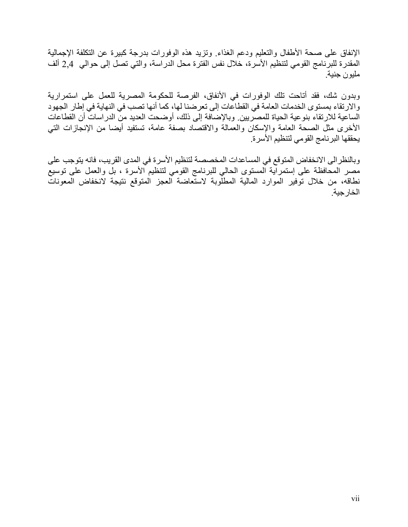الإنفاق على صحة الأطفال والتعليم ودعم الغذاء. وتزيد هذه الوفورات بدرجة كبيرة عن التكلفة الإجمالية المقدرة للبرنامج القومي لتنظيم الأسرة، خلال نفس الفترة محل الدراسة، والتي تصل إلى حوالي 2,4 ألف مليون جنية.

وبدون شك، فقد أتاحت تلك الوفورات في الأنفاق، الفرصة للحكومة المصرية للعمل على استمرارية والارتقاء بمستوى الخدمات العامة في القطاعات إلى تعرضنا لها، كما أنها تصب في النهاية في إطار الجهود الساعية للارتقاء بنوعية الحياة للمصريين. وبالإضافة إلى ذلك، أوضحت العديد من الدراسات أن القطاعات الأخرى مثل الصحة العامة والإسكان والعمالة والاقتصاد بصفة عامة، تستفيد أيضا من الإنجازات التي يحققها البرنامج القومي لتنظيم الأسرة.

وبالنظرالى الانخفاض المتوقع في المساعدات المخصصة لتنظيم الأسرة في المدى القريب، فانه يتوجب على مصر المحافظة على إستمراية المستوى الحالي للبرنامج القومي لتنظيم الأسرة ، بل والعمل على توسيع نطاقه، من خلال توفير الموارد المالية المطلوبة لاستعاضة العجز المتوقع نتيجة لانخفاض المعونات الخارجية.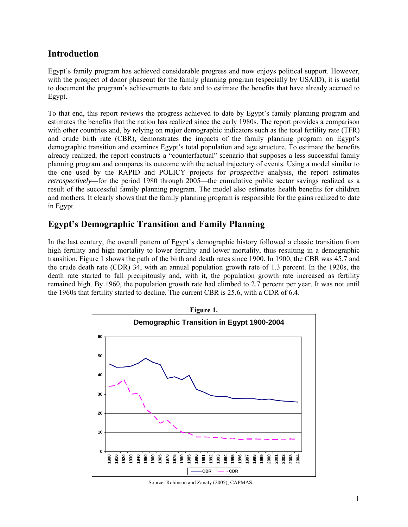## **Introduction**

Egypt's family program has achieved considerable progress and now enjoys political support. However, with the prospect of donor phaseout for the family planning program (especially by USAID), it is useful to document the program's achievements to date and to estimate the benefits that have already accrued to Egypt.

To that end, this report reviews the progress achieved to date by Egypt's family planning program and estimates the benefits that the nation has realized since the early 1980s. The report provides a comparison with other countries and, by relying on major demographic indicators such as the total fertility rate (TFR) and crude birth rate (CBR), demonstrates the impacts of the family planning program on Egypt's demographic transition and examines Egypt's total population and age structure. To estimate the benefits already realized, the report constructs a "counterfactual" scenario that supposes a less successful family planning program and compares its outcome with the actual trajectory of events. Using a model similar to the one used by the RAPID and POLICY projects for *prospective* analysis, the report estimates *retrospectively—for the period 1980 through 2005—the cumulative public sector savings realized as a* result of the successful family planning program. The model also estimates health benefits for children and mothers. It clearly shows that the family planning program is responsible for the gains realized to date in Egypt.

## **Egypt's Demographic Transition and Family Planning**

In the last century, the overall pattern of Egypt's demographic history followed a classic transition from high fertility and high mortality to lower fertility and lower mortality, thus resulting in a demographic transition. Figure 1 shows the path of the birth and death rates since 1900. In 1900, the CBR was 45.7 and the crude death rate (CDR) 34, with an annual population growth rate of 1.3 percent. In the 1920s, the death rate started to fall precipitously and, with it, the population growth rate increased as fertility remained high. By 1960, the population growth rate had climbed to 2.7 percent per year. It was not until the 1960s that fertility started to decline. The current CBR is 25.6, with a CDR of 6.4.



Source: Robinson and Zanaty (2005); CAPMAS.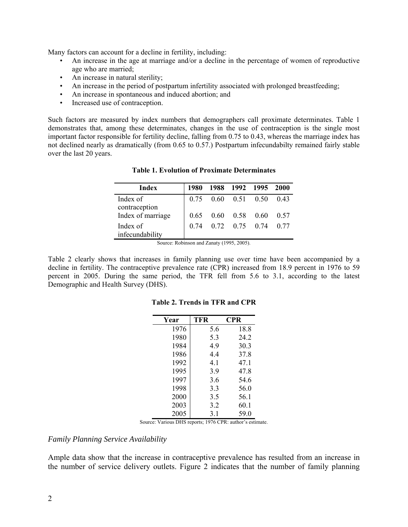Many factors can account for a decline in fertility, including:

- An increase in the age at marriage and/or a decline in the percentage of women of reproductive age who are married;
- An increase in natural sterility;
- An increase in the period of postpartum infertility associated with prolonged breastfeeding;
- An increase in spontaneous and induced abortion; and
- Increased use of contraception.

Such factors are measured by index numbers that demographers call proximate determinates. Table 1 demonstrates that, among these determinates, changes in the use of contraception is the single most important factor responsible for fertility decline, falling from 0.75 to 0.43, whereas the marriage index has not declined nearly as dramatically (from 0.65 to 0.57.) Postpartum infecundabilty remained fairly stable over the last 20 years.

| Index                       | 1980 |                             | 1988 1992 1995 2000  |      |
|-----------------------------|------|-----------------------------|----------------------|------|
| Index of<br>contraception   |      | $0.75$ $0.60$ $0.51$ $0.50$ |                      | 0.43 |
| Index of marriage           | 0.65 |                             | $0.60$ $0.58$ $0.60$ | 0.57 |
| Index of<br>infecundability | 0.74 |                             | $0.72$ $0.75$ $0.74$ | 0.77 |

**Table 1. Evolution of Proximate Determinates** 

Source: Robinson and Zanaty (1995, 2005).

Table 2 clearly shows that increases in family planning use over time have been accompanied by a decline in fertility. The contraceptive prevalence rate (CPR) increased from 18.9 percent in 1976 to 59 percent in 2005. During the same period, the TFR fell from 5.6 to 3.1, according to the latest Demographic and Health Survey (DHS).

| Year | <b>TFR</b> | CPR  |
|------|------------|------|
| 1976 | 5.6        | 18.8 |
| 1980 | 5.3        | 24.2 |
| 1984 | 4.9        | 30.3 |
| 1986 | 4.4        | 37.8 |
| 1992 | 4.1        | 47.1 |
| 1995 | 3.9        | 47.8 |
| 1997 | 3.6        | 54.6 |
| 1998 | 3.3        | 56.0 |
| 2000 | 3.5        | 56.1 |
| 2003 | 3.2        | 60.1 |
| 2005 | 3.1        | 59.0 |

#### **Table 2. Trends in TFR and CPR**

Source: Various DHS reports; 1976 CPR: author's estimate.

#### *Family Planning Service Availability*

Ample data show that the increase in contraceptive prevalence has resulted from an increase in the number of service delivery outlets. Figure 2 indicates that the number of family planning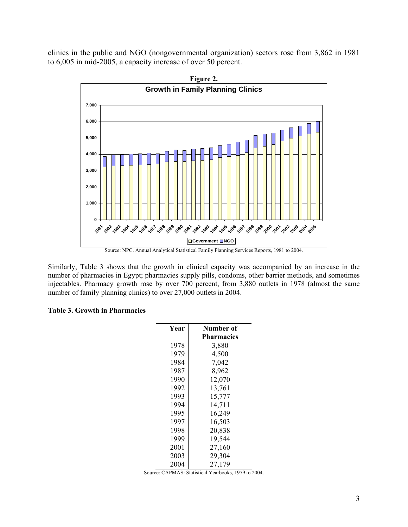clinics in the public and NGO (nongovernmental organization) sectors rose from 3,862 in 1981 to 6,005 in mid-2005, a capacity increase of over 50 percent.



Source: NPC. Annual Analytical Statistical Family Planning Services Reports, 1981 to 2004.

Similarly, Table 3 shows that the growth in clinical capacity was accompanied by an increase in the number of pharmacies in Egypt; pharmacies supply pills, condoms, other barrier methods, and sometimes injectables. Pharmacy growth rose by over 700 percent, from 3,880 outlets in 1978 (almost the same number of family planning clinics) to over 27,000 outlets in 2004.

#### **Table 3. Growth in Pharmacies**

| Year | Number of         |  |  |  |
|------|-------------------|--|--|--|
|      | <b>Pharmacies</b> |  |  |  |
| 1978 | 3,880             |  |  |  |
| 1979 | 4,500             |  |  |  |
| 1984 | 7,042             |  |  |  |
| 1987 | 8,962             |  |  |  |
| 1990 | 12,070            |  |  |  |
| 1992 | 13,761            |  |  |  |
| 1993 | 15,777            |  |  |  |
| 1994 | 14,711            |  |  |  |
| 1995 | 16,249            |  |  |  |
| 1997 | 16,503            |  |  |  |
| 1998 | 20,838            |  |  |  |
| 1999 | 19,544            |  |  |  |
| 2001 | 27,160            |  |  |  |
| 2003 | 29,304            |  |  |  |
| 2004 | 27,179            |  |  |  |

Source: CAPMAS: Statistical Yearbooks, 1979 to 2004.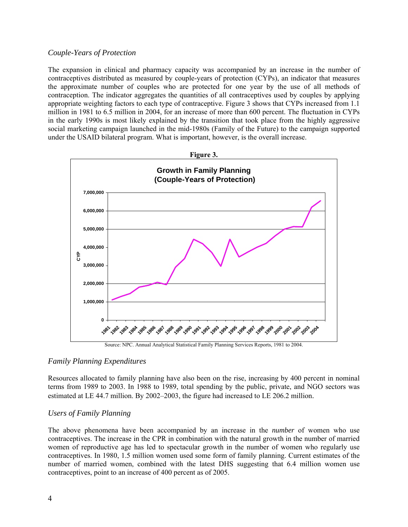#### *Couple-Years of Protection*

The expansion in clinical and pharmacy capacity was accompanied by an increase in the number of contraceptives distributed as measured by couple-years of protection (CYPs), an indicator that measures the approximate number of couples who are protected for one year by the use of all methods of contraception. The indicator aggregates the quantities of all contraceptives used by couples by applying appropriate weighting factors to each type of contraceptive. Figure 3 shows that CYPs increased from 1.1 million in 1981 to 6.5 million in 2004, for an increase of more than 600 percent. The fluctuation in CYPs in the early 1990s is most likely explained by the transition that took place from the highly aggressive social marketing campaign launched in the mid-1980s (Family of the Future) to the campaign supported under the USAID bilateral program. What is important, however, is the overall increase.



Source: NPC. Annual Analytical Statistical Family Planning Services Reports, 1981 to 2004.

#### *Family Planning Expenditures*

Resources allocated to family planning have also been on the rise, increasing by 400 percent in nominal terms from 1989 to 2003. In 1988 to 1989, total spending by the public, private, and NGO sectors was estimated at LE 44.7 million. By 2002–2003, the figure had increased to LE 206.2 million.

#### *Users of Family Planning*

The above phenomena have been accompanied by an increase in the *number* of women who use contraceptives. The increase in the CPR in combination with the natural growth in the number of married women of reproductive age has led to spectacular growth in the number of women who regularly use contraceptives. In 1980, 1.5 million women used some form of family planning. Current estimates of the number of married women, combined with the latest DHS suggesting that 6.4 million women use contraceptives, point to an increase of 400 percent as of 2005.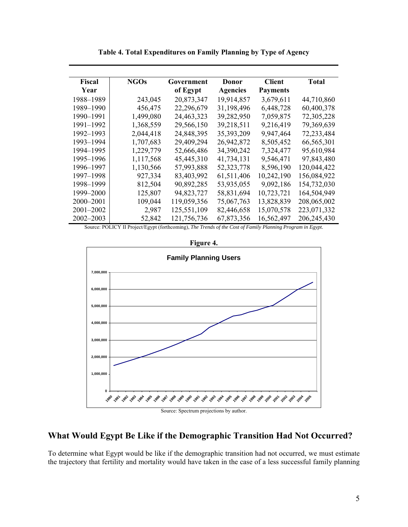| Fiscal        | <b>NGOs</b> | Government  | Donor           | <b>Client</b>   | Total         |
|---------------|-------------|-------------|-----------------|-----------------|---------------|
| Year          |             | of Egypt    | <b>Agencies</b> | <b>Payments</b> |               |
| 1988-1989     | 243,045     | 20,873,347  | 19,914,857      | 3,679,611       | 44,710,860    |
| 1989–1990     | 456,475     | 22,296,679  | 31,198,496      | 6,448,728       | 60,400,378    |
| 1990–1991     | 1,499,080   | 24,463,323  | 39,282,950      | 7,059,875       | 72,305,228    |
| 1991–1992     | 1,368,559   | 29,566,150  | 39,218,511      | 9,216,419       | 79,369,639    |
| 1992–1993     | 2,044,418   | 24,848,395  | 35, 393, 209    | 9,947,464       | 72,233,484    |
| 1993–1994     | 1,707,683   | 29,409,294  | 26,942,872      | 8,505,452       | 66,565,301    |
| 1994–1995     | 1,229,779   | 52,666,486  | 34,390,242      | 7,324,477       | 95,610,984    |
| 1995–1996     | 1,117,568   | 45,445,310  | 41,734,131      | 9,546,471       | 97,843,480    |
| 1996–1997     | 1,130,566   | 57,993,888  | 52, 323, 778    | 8,596,190       | 120,044,422   |
| 1997–1998     | 927,334     | 83,403,992  | 61,511,406      | 10,242,190      | 156,084,922   |
| 1998–1999     | 812,504     | 90,892,285  | 53,935,055      | 9,092,186       | 154,732,030   |
| 1999–2000     | 125,807     | 94,823,727  | 58,831,694      | 10,723,721      | 164,504,949   |
| 2000–2001     | 109,044     | 119,059,356 | 75,067,763      | 13,828,839      | 208,065,002   |
| $2001 - 2002$ | 2,987       | 125,551,109 | 82,446,658      | 15,070,578      | 223,071,332   |
| 2002-2003     | 52,842      | 121,756,736 | 67,873,356      | 16,562,497      | 206, 245, 430 |

**Table 4. Total Expenditures on Family Planning by Type of Agency** 

Source: POLICY II Project/Egypt (forthcoming), *The Trends of the Cost of Family Planning Program in Egypt.*



**Figure 4.** 

Source: Spectrum projections by author.

## **What Would Egypt Be Like if the Demographic Transition Had Not Occurred?**

To determine what Egypt would be like if the demographic transition had not occurred, we must estimate the trajectory that fertility and mortality would have taken in the case of a less successful family planning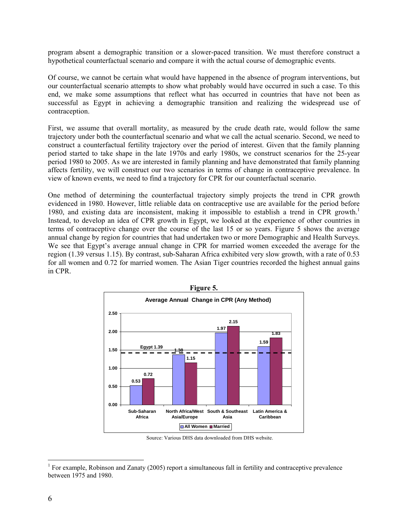program absent a demographic transition or a slower-paced transition. We must therefore construct a hypothetical counterfactual scenario and compare it with the actual course of demographic events.

Of course, we cannot be certain what would have happened in the absence of program interventions, but our counterfactual scenario attempts to show what probably would have occurred in such a case. To this end, we make some assumptions that reflect what has occurred in countries that have not been as successful as Egypt in achieving a demographic transition and realizing the widespread use of contraception.

First, we assume that overall mortality, as measured by the crude death rate, would follow the same trajectory under both the counterfactual scenario and what we call the actual scenario. Second, we need to construct a counterfactual fertility trajectory over the period of interest. Given that the family planning period started to take shape in the late 1970s and early 1980s, we construct scenarios for the 25-year period 1980 to 2005. As we are interested in family planning and have demonstrated that family planning affects fertility, we will construct our two scenarios in terms of change in contraceptive prevalence. In view of known events, we need to find a trajectory for CPR for our counterfactual scenario.

One method of determining the counterfactual trajectory simply projects the trend in CPR growth evidenced in 1980. However, little reliable data on contraceptive use are available for the period before 1980, and existing data are inconsistent, making it impossible to establish a trend in CPR growth.<sup>1</sup> Instead, to develop an idea of CPR growth in Egypt, we looked at the experience of other countries in terms of contraceptive change over the course of the last 15 or so years. Figure 5 shows the average annual change by region for countries that had undertaken two or more Demographic and Health Surveys. We see that Egypt's average annual change in CPR for married women exceeded the average for the region (1.39 versus 1.15). By contrast, sub-Saharan Africa exhibited very slow growth, with a rate of 0.53 for all women and 0.72 for married women. The Asian Tiger countries recorded the highest annual gains in CPR.



Source: Various DHS data downloaded from DHS website.

 $\overline{a}$ 

<sup>&</sup>lt;sup>1</sup> For example, Robinson and Zanaty (2005) report a simultaneous fall in fertility and contraceptive prevalence between 1975 and 1980.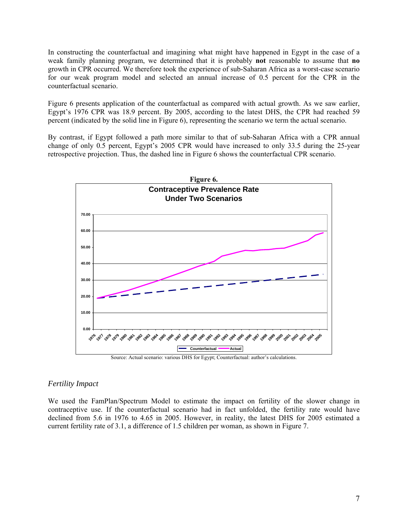In constructing the counterfactual and imagining what might have happened in Egypt in the case of a weak family planning program, we determined that it is probably **not** reasonable to assume that **no**  growth in CPR occurred. We therefore took the experience of sub-Saharan Africa as a worst-case scenario for our weak program model and selected an annual increase of 0.5 percent for the CPR in the counterfactual scenario.

Figure 6 presents application of the counterfactual as compared with actual growth. As we saw earlier, Egypt's 1976 CPR was 18.9 percent. By 2005, according to the latest DHS, the CPR had reached 59 percent (indicated by the solid line in Figure 6), representing the scenario we term the actual scenario.

By contrast, if Egypt followed a path more similar to that of sub-Saharan Africa with a CPR annual change of only 0.5 percent, Egypt's 2005 CPR would have increased to only 33.5 during the 25-year retrospective projection. Thus, the dashed line in Figure 6 shows the counterfactual CPR scenario.



Source: Actual scenario: various DHS for Egypt; Counterfactual: author's calculations.

#### *Fertility Impact*

We used the FamPlan/Spectrum Model to estimate the impact on fertility of the slower change in contraceptive use. If the counterfactual scenario had in fact unfolded, the fertility rate would have declined from 5.6 in 1976 to 4.65 in 2005. However, in reality, the latest DHS for 2005 estimated a current fertility rate of 3.1, a difference of 1.5 children per woman, as shown in Figure 7.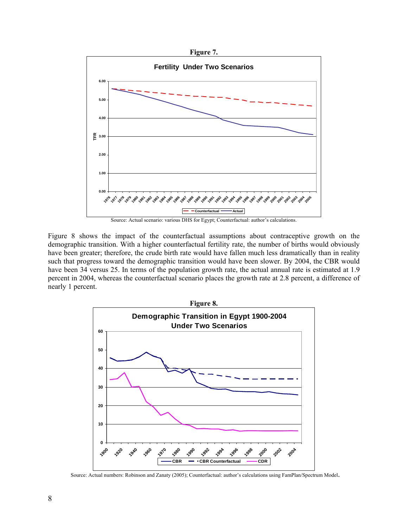

Figure 8 shows the impact of the counterfactual assumptions about contraceptive growth on the demographic transition. With a higher counterfactual fertility rate, the number of births would obviously have been greater; therefore, the crude birth rate would have fallen much less dramatically than in reality such that progress toward the demographic transition would have been slower. By 2004, the CBR would have been 34 versus 25. In terms of the population growth rate, the actual annual rate is estimated at 1.9 percent in 2004, whereas the counterfactual scenario places the growth rate at 2.8 percent, a difference of nearly 1 percent.



Source: Actual numbers: Robinson and Zanaty (2005); Counterfactual: author's calculations using FamPlan/Spectrum Model.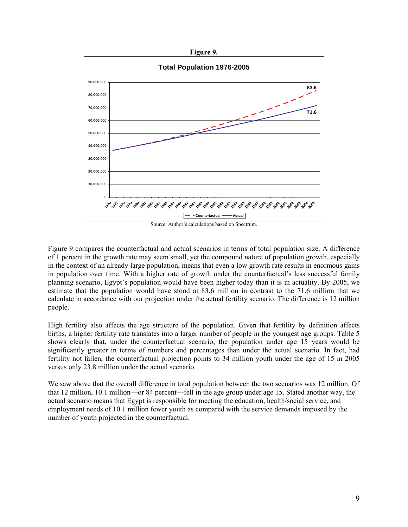

Figure 9 compares the counterfactual and actual scenarios in terms of total population size. A difference of 1 percent in the growth rate may seem small, yet the compound nature of population growth, especially in the context of an already large population, means that even a low growth rate results in enormous gains in population over time. With a higher rate of growth under the counterfactual's less successful family planning scenario, Egypt's population would have been higher today than it is in actuality. By 2005, we estimate that the population would have stood at 83.6 million in contrast to the 71.6 million that we calculate in accordance with our projection under the actual fertility scenario. The difference is 12 million people.

High fertility also affects the age structure of the population. Given that fertility by definition affects births, a higher fertility rate translates into a larger number of people in the youngest age groups. Table 5 shows clearly that, under the counterfactual scenario, the population under age 15 years would be significantly greater in terms of numbers and percentages than under the actual scenario. In fact, had fertility not fallen, the counterfactual projection points to 34 million youth under the age of 15 in 2005 versus only 23.8 million under the actual scenario.

We saw above that the overall difference in total population between the two scenarios was 12 million. Of that 12 million, 10.1 million—or 84 percent—fell in the age group under age 15. Stated another way, the actual scenario means that Egypt is responsible for meeting the education, health/social service, and employment needs of 10.1 million fewer youth as compared with the service demands imposed by the number of youth projected in the counterfactual.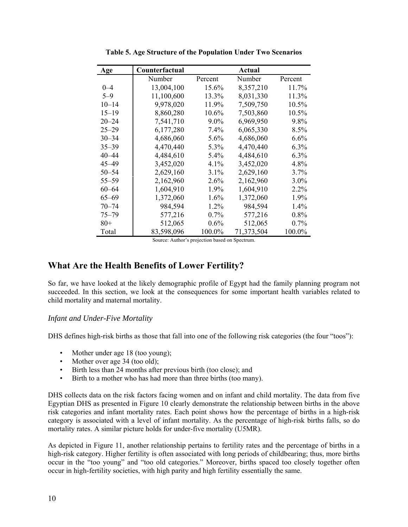| Age       | Counterfactual |         | Actual     |         |
|-----------|----------------|---------|------------|---------|
|           | Number         | Percent | Number     | Percent |
| $0 - 4$   | 13,004,100     | 15.6%   | 8,357,210  | 11.7%   |
| $5 - 9$   | 11,100,600     | 13.3%   | 8,031,330  | 11.3%   |
| $10 - 14$ | 9,978,020      | 11.9%   | 7,509,750  | 10.5%   |
| $15 - 19$ | 8,860,280      | 10.6%   | 7,503,860  | 10.5%   |
| $20 - 24$ | 7,541,710      | $9.0\%$ | 6,969,950  | 9.8%    |
| $25 - 29$ | 6,177,280      | 7.4%    | 6,065,330  | 8.5%    |
| $30 - 34$ | 4,686,060      | $5.6\%$ | 4,686,060  | 6.6%    |
| $35 - 39$ | 4,470,440      | 5.3%    | 4,470,440  | $6.3\%$ |
| $40 - 44$ | 4,484,610      | 5.4%    | 4,484,610  | 6.3%    |
| 45–49     | 3,452,020      | $4.1\%$ | 3,452,020  | 4.8%    |
| $50 - 54$ | 2,629,160      | $3.1\%$ | 2,629,160  | 3.7%    |
| $55 - 59$ | 2,162,960      | 2.6%    | 2,162,960  | 3.0%    |
| $60 - 64$ | 1,604,910      | 1.9%    | 1,604,910  | 2.2%    |
| $65 - 69$ | 1,372,060      | 1.6%    | 1,372,060  | 1.9%    |
| $70 - 74$ | 984,594        | 1.2%    | 984,594    | 1.4%    |
| $75 - 79$ | 577,216        | $0.7\%$ | 577,216    | $0.8\%$ |
| $80+$     | 512,065        | 0.6%    | 512,065    | $0.7\%$ |
| Total     | 83,598,096     | 100.0%  | 71,373,504 | 100.0%  |

**Table 5. Age Structure of the Population Under Two Scenarios** 

Source: Author's projection based on Spectrum.

### **What Are the Health Benefits of Lower Fertility?**

So far, we have looked at the likely demographic profile of Egypt had the family planning program not succeeded. In this section, we look at the consequences for some important health variables related to child mortality and maternal mortality.

#### *Infant and Under-Five Mortality*

DHS defines high-risk births as those that fall into one of the following risk categories (the four "toos"):

- Mother under age 18 (too young);
- Mother over age 34 (too old);
- Birth less than 24 months after previous birth (too close); and
- Birth to a mother who has had more than three births (too many).

DHS collects data on the risk factors facing women and on infant and child mortality. The data from five Egyptian DHS as presented in Figure 10 clearly demonstrate the relationship between births in the above risk categories and infant mortality rates. Each point shows how the percentage of births in a high-risk category is associated with a level of infant mortality. As the percentage of high-risk births falls, so do mortality rates. A similar picture holds for under-five mortality (U5MR).

As depicted in Figure 11, another relationship pertains to fertility rates and the percentage of births in a high-risk category. Higher fertility is often associated with long periods of childbearing; thus, more births occur in the "too young" and "too old categories." Moreover, births spaced too closely together often occur in high-fertility societies, with high parity and high fertility essentially the same.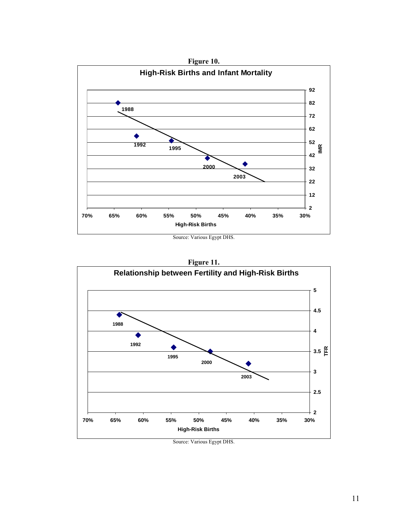





Source: Various Egypt DHS.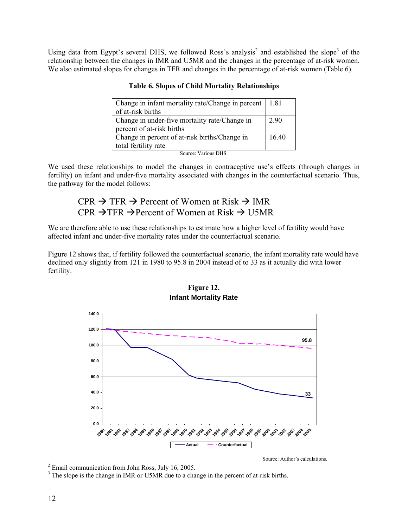Using data from Egypt's several DHS, we followed Ross's analysis<sup>2</sup> and established the slope<sup>3</sup> of the relationship between the changes in IMR and U5MR and the changes in the percentage of at-risk women. We also estimated slopes for changes in TFR and changes in the percentage of at-risk women (Table 6).

| Change in infant mortality rate/Change in percent   1.81 |       |
|----------------------------------------------------------|-------|
| of at-risk births                                        |       |
| Change in under-five mortality rate/Change in            | 2.90  |
| percent of at-risk births                                |       |
| Change in percent of at-risk births/Change in            | 16.40 |
| total fertility rate                                     |       |

#### **Table 6. Slopes of Child Mortality Relationships**

Source: Various DHS.

We used these relationships to model the changes in contraceptive use's effects (through changes in fertility) on infant and under-five mortality associated with changes in the counterfactual scenario. Thus, the pathway for the model follows:

## $CPR \rightarrow TFR \rightarrow P$ ercent of Women at Risk  $\rightarrow IMR$ CPR  $\rightarrow$  TFR  $\rightarrow$  Percent of Women at Risk  $\rightarrow$  U5MR

We are therefore able to use these relationships to estimate how a higher level of fertility would have affected infant and under-five mortality rates under the counterfactual scenario.

Figure 12 shows that, if fertility followed the counterfactual scenario, the infant mortality rate would have declined only slightly from 121 in 1980 to 95.8 in 2004 instead of to 33 as it actually did with lower fertility.



Source: Author's calculations.

<sup>&</sup>lt;sup>2</sup> Email communication from John Ross, July 16, 2005.

<sup>&</sup>lt;sup>3</sup> The slope is the change in IMR or U5MR due to a change in the percent of at-risk births.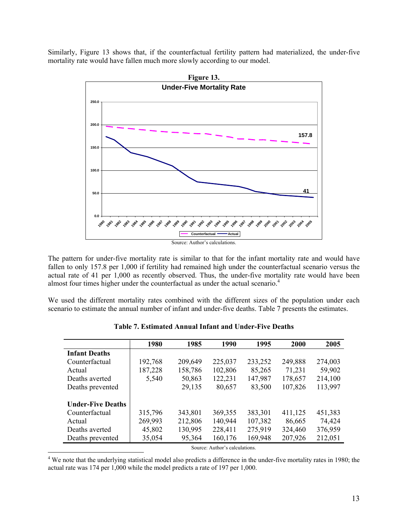Similarly, Figure 13 shows that, if the counterfactual fertility pattern had materialized, the under-five mortality rate would have fallen much more slowly according to our model.



The pattern for under-five mortality rate is similar to that for the infant mortality rate and would have fallen to only 157.8 per 1,000 if fertility had remained high under the counterfactual scenario versus the actual rate of 41 per 1,000 as recently observed. Thus, the under-five mortality rate would have been almost four times higher under the counterfactual as under the actual scenario.<sup>4</sup>

We used the different mortality rates combined with the different sizes of the population under each scenario to estimate the annual number of infant and under-five deaths. Table 7 presents the estimates.

|                          | 1980    | 1985    | 1990                           | 1995    | 2000    | 2005    |
|--------------------------|---------|---------|--------------------------------|---------|---------|---------|
| <b>Infant Deaths</b>     |         |         |                                |         |         |         |
| Counterfactual           | 192,768 | 209,649 | 225,037                        | 233,252 | 249,888 | 274,003 |
| Actual                   | 187,228 | 158,786 | 102,806                        | 85,265  | 71,231  | 59,902  |
| Deaths averted           | 5,540   | 50,863  | 122,231                        | 147,987 | 178,657 | 214,100 |
| Deaths prevented         |         | 29,135  | 80,657                         | 83,500  | 107,826 | 113,997 |
| <b>Under-Five Deaths</b> |         |         |                                |         |         |         |
| Counterfactual           | 315,796 | 343,801 | 369,355                        | 383,301 | 411,125 | 451,383 |
| Actual                   | 269,993 | 212,806 | 140,944                        | 107,382 | 86,665  | 74,424  |
| Deaths averted           | 45,802  | 130,995 | 228,411                        | 275,919 | 324,460 | 376,959 |
| Deaths prevented         | 35,054  | 95,364  | 160,176                        | 169,948 | 207,926 | 212,051 |
|                          |         |         | Source: Author's calculations. |         |         |         |

**Table 7. Estimated Annual Infant and Under-Five Deaths** 

<sup>4</sup> We note that the underlying statistical model also predicts a difference in the under-five mortality rates in 1980; the actual rate was 174 per 1,000 while the model predicts a rate of 197 per 1,000.

 $\overline{a}$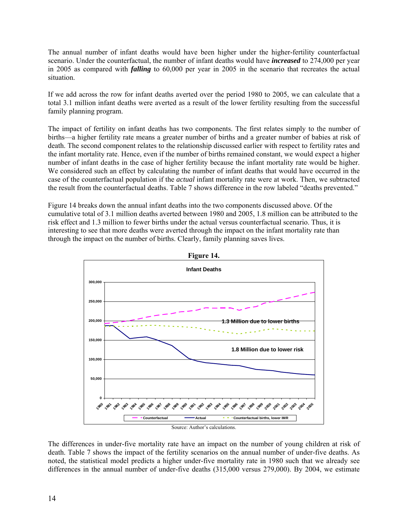The annual number of infant deaths would have been higher under the higher-fertility counterfactual scenario. Under the counterfactual, the number of infant deaths would have *increased* to 274,000 per year in 2005 as compared with *falling* to 60,000 per year in 2005 in the scenario that recreates the actual situation.

If we add across the row for infant deaths averted over the period 1980 to 2005, we can calculate that a total 3.1 million infant deaths were averted as a result of the lower fertility resulting from the successful family planning program.

The impact of fertility on infant deaths has two components. The first relates simply to the number of births—a higher fertility rate means a greater number of births and a greater number of babies at risk of death. The second component relates to the relationship discussed earlier with respect to fertility rates and the infant mortality rate. Hence, even if the number of births remained constant, we would expect a higher number of infant deaths in the case of higher fertility because the infant mortality rate would be higher. We considered such an effect by calculating the number of infant deaths that would have occurred in the case of the counterfactual population if the *actual* infant mortality rate were at work. Then, we subtracted the result from the counterfactual deaths. Table 7 shows difference in the row labeled "deaths prevented."

Figure 14 breaks down the annual infant deaths into the two components discussed above. Of the cumulative total of 3.1 million deaths averted between 1980 and 2005, 1.8 million can be attributed to the risk effect and 1.3 million to fewer births under the actual versus counterfactual scenario. Thus, it is interesting to see that more deaths were averted through the impact on the infant mortality rate than through the impact on the number of births. Clearly, family planning saves lives.





The differences in under-five mortality rate have an impact on the number of young children at risk of death. Table 7 shows the impact of the fertility scenarios on the annual number of under-five deaths. As noted, the statistical model predicts a higher under-five mortality rate in 1980 such that we already see differences in the annual number of under-five deaths (315,000 versus 279,000). By 2004, we estimate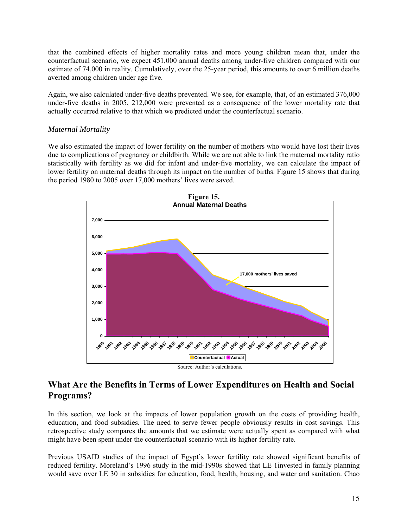that the combined effects of higher mortality rates and more young children mean that, under the counterfactual scenario, we expect 451,000 annual deaths among under-five children compared with our estimate of 74,000 in reality. Cumulatively, over the 25-year period, this amounts to over 6 million deaths averted among children under age five.

Again, we also calculated under-five deaths prevented. We see, for example, that, of an estimated 376,000 under-five deaths in 2005, 212,000 were prevented as a consequence of the lower mortality rate that actually occurred relative to that which we predicted under the counterfactual scenario.

#### *Maternal Mortality*

We also estimated the impact of lower fertility on the number of mothers who would have lost their lives due to complications of pregnancy or childbirth. While we are not able to link the maternal mortality ratio statistically with fertility as we did for infant and under-five mortality, we can calculate the impact of lower fertility on maternal deaths through its impact on the number of births. Figure 15 shows that during the period 1980 to 2005 over 17,000 mothers' lives were saved.



## **What Are the Benefits in Terms of Lower Expenditures on Health and Social Programs?**

In this section, we look at the impacts of lower population growth on the costs of providing health, education, and food subsidies. The need to serve fewer people obviously results in cost savings. This retrospective study compares the amounts that we estimate were actually spent as compared with what might have been spent under the counterfactual scenario with its higher fertility rate.

Previous USAID studies of the impact of Egypt's lower fertility rate showed significant benefits of reduced fertility. Moreland's 1996 study in the mid-1990s showed that LE 1invested in family planning would save over LE 30 in subsidies for education, food, health, housing, and water and sanitation. Chao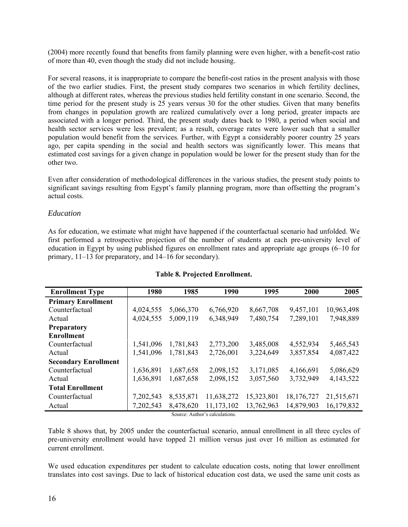(2004) more recently found that benefits from family planning were even higher, with a benefit-cost ratio of more than 40, even though the study did not include housing.

For several reasons, it is inappropriate to compare the benefit-cost ratios in the present analysis with those of the two earlier studies. First, the present study compares two scenarios in which fertility declines, although at different rates, whereas the previous studies held fertility constant in one scenario. Second, the time period for the present study is  $25$  years versus 30 for the other studies. Given that many benefits from changes in population growth are realized cumulatively over a long period, greater impacts are associated with a longer period. Third, the present study dates back to 1980, a period when social and health sector services were less prevalent; as a result, coverage rates were lower such that a smaller population would benefit from the services. Further, with Egypt a considerably poorer country 25 years ago, per capita spending in the social and health sectors was significantly lower. This means that estimated cost savings for a given change in population would be lower for the present study than for the other two.

Even after consideration of methodological differences in the various studies, the present study points to significant savings resulting from Egypt's family planning program, more than offsetting the program's actual costs.

#### *Education*

As for education, we estimate what might have happened if the counterfactual scenario had unfolded. We first performed a retrospective projection of the number of students at each pre-university level of education in Egypt by using published figures on enrollment rates and appropriate age groups (6–10 for primary, 11–13 for preparatory, and 14–16 for secondary).

| <b>Enrollment Type</b>         | 1980      | 1985      | 1990       | 1995       | 2000       | 2005       |  |
|--------------------------------|-----------|-----------|------------|------------|------------|------------|--|
| <b>Primary Enrollment</b>      |           |           |            |            |            |            |  |
| Counterfactual                 | 4,024,555 | 5,066,370 | 6,766,920  | 8,667,708  | 9,457,101  | 10,963,498 |  |
| Actual                         | 4,024,555 | 5,009,119 | 6,348,949  | 7,480,754  | 7,289,101  | 7,948,889  |  |
| <b>Preparatory</b>             |           |           |            |            |            |            |  |
| <b>Enrollment</b>              |           |           |            |            |            |            |  |
| Counterfactual                 | 1,541,096 | 1,781,843 | 2,773,200  | 3,485,008  | 4,552,934  | 5,465,543  |  |
| Actual                         | 1,541,096 | 1,781,843 | 2,726,001  | 3,224,649  | 3,857,854  | 4,087,422  |  |
| <b>Secondary Enrollment</b>    |           |           |            |            |            |            |  |
| Counterfactual                 | 1,636,891 | 1,687,658 | 2,098,152  | 3,171,085  | 4,166,691  | 5,086,629  |  |
| Actual                         | 1,636,891 | 1,687,658 | 2,098,152  | 3,057,560  | 3,732,949  | 4,143,522  |  |
| <b>Total Enrollment</b>        |           |           |            |            |            |            |  |
| Counterfactual                 | 7,202,543 | 8,535,871 | 11,638,272 | 15,323,801 | 18,176,727 | 21,515,671 |  |
| Actual                         | 7,202,543 | 8,478,620 | 11,173,102 | 13,762,963 | 14,879,903 | 16,179,832 |  |
| Source: Author's calculations. |           |           |            |            |            |            |  |

#### **Table 8. Projected Enrollment.**

Table 8 shows that, by 2005 under the counterfactual scenario, annual enrollment in all three cycles of pre-university enrollment would have topped 21 million versus just over 16 million as estimated for current enrollment.

We used education expenditures per student to calculate education costs, noting that lower enrollment translates into cost savings. Due to lack of historical education cost data, we used the same unit costs as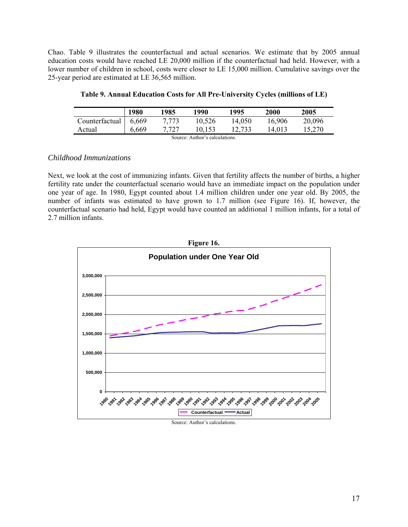Chao. Table 9 illustrates the counterfactual and actual scenarios. We estimate that by 2005 annual education costs would have reached LE 20,000 million if the counterfactual had held. However, with a lower number of children in school, costs were closer to LE 15,000 million. Cumulative savings over the 25-year period are estimated at LE 36,565 million.

|                                | <b>1980</b> | 1985  | 1990   | 1995   | <b>2000</b> | 2005   |  |
|--------------------------------|-------------|-------|--------|--------|-------------|--------|--|
| Counterfactual 6,669           |             | 7.773 | 10,526 | 14.050 | 16.906      | 20,096 |  |
| Actual                         | 6,669       | 7,727 | 10.153 | 12.733 | 14.013      | 15,270 |  |
| Source: Author's calculations. |             |       |        |        |             |        |  |

| Table 9. Annual Education Costs for All Pre-University Cycles (millions of LE) |  |  |  |  |
|--------------------------------------------------------------------------------|--|--|--|--|
|                                                                                |  |  |  |  |

#### *Childhood Immunizations*

Next, we look at the cost of immunizing infants. Given that fertility affects the number of births, a higher fertility rate under the counterfactual scenario would have an immediate impact on the population under one year of age. In 1980, Egypt counted about 1.4 million children under one year old. By 2005, the number of infants was estimated to have grown to 1.7 million (see Figure 16). If, however, the counterfactual scenario had held, Egypt would have counted an additional 1 million infants, for a total of 2.7 million infants.



#### Source: Author's calculations.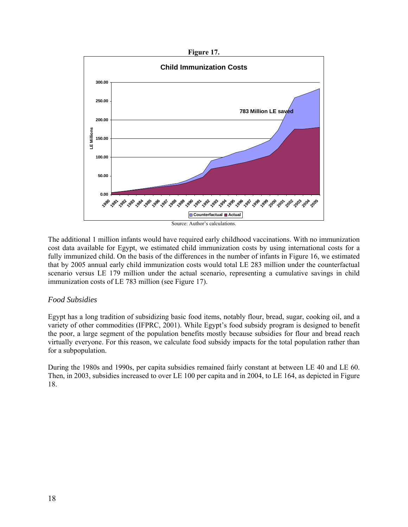

The additional 1 million infants would have required early childhood vaccinations. With no immunization cost data available for Egypt, we estimated child immunization costs by using international costs for a fully immunized child. On the basis of the differences in the number of infants in Figure 16, we estimated that by 2005 annual early child immunization costs would total LE 283 million under the counterfactual scenario versus LE 179 million under the actual scenario, representing a cumulative savings in child immunization costs of LE 783 million (see Figure 17).

#### *Food Subsidies*

Egypt has a long tradition of subsidizing basic food items, notably flour, bread, sugar, cooking oil, and a variety of other commodities (IFPRC, 2001). While Egypt's food subsidy program is designed to benefit the poor, a large segment of the population benefits mostly because subsidies for flour and bread reach virtually everyone. For this reason, we calculate food subsidy impacts for the total population rather than for a subpopulation.

During the 1980s and 1990s, per capita subsidies remained fairly constant at between LE 40 and LE 60. Then, in 2003, subsidies increased to over LE 100 per capita and in 2004, to LE 164, as depicted in Figure 18.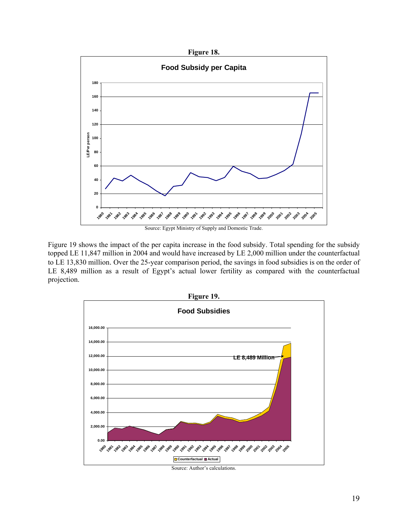

Figure 19 shows the impact of the per capita increase in the food subsidy. Total spending for the subsidy topped LE 11,847 million in 2004 and would have increased by LE 2,000 million under the counterfactual to LE 13,830 million. Over the 25-year comparison period, the savings in food subsidies is on the order of LE 8,489 million as a result of Egypt's actual lower fertility as compared with the counterfactual projection.



Source: Author's calculations.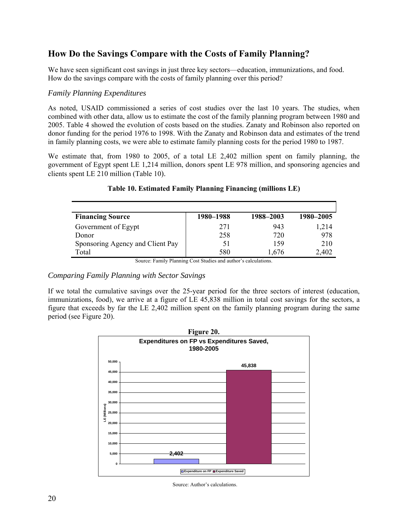## **How Do the Savings Compare with the Costs of Family Planning?**

We have seen significant cost savings in just three key sectors—education, immunizations, and food. How do the savings compare with the costs of family planning over this period?

#### *Family Planning Expenditures*

As noted, USAID commissioned a series of cost studies over the last 10 years. The studies, when combined with other data, allow us to estimate the cost of the family planning program between 1980 and 2005. Table 4 showed the evolution of costs based on the studies. Zanaty and Robinson also reported on donor funding for the period 1976 to 1998. With the Zanaty and Robinson data and estimates of the trend in family planning costs, we were able to estimate family planning costs for the period 1980 to 1987.

We estimate that, from 1980 to 2005, of a total LE 2,402 million spent on family planning, the government of Egypt spent LE 1,214 million, donors spent LE 978 million, and sponsoring agencies and clients spent LE 210 million (Table 10).

| 1980–1988 | 1988-2003                               | 1980–2005 |
|-----------|-----------------------------------------|-----------|
| 271       | 943                                     | 1,214     |
| 258       | 720                                     | 978       |
| 51        | 159                                     | 210       |
| 580       | 1,676                                   | 2,402     |
|           | $\alpha$ $\alpha$ $\alpha$<br>$\cdot$ 1 | $1$ .     |

#### **Table 10. Estimated Family Planning Financing (millions LE)**

Source: Family Planning Cost Studies and author's calculations.

#### *Comparing Family Planning with Sector Savings*

If we total the cumulative savings over the 25-year period for the three sectors of interest (education, immunizations, food), we arrive at a figure of LE 45,838 million in total cost savings for the sectors, a figure that exceeds by far the LE 2,402 million spent on the family planning program during the same period (see Figure 20).



Source: Author's calculations.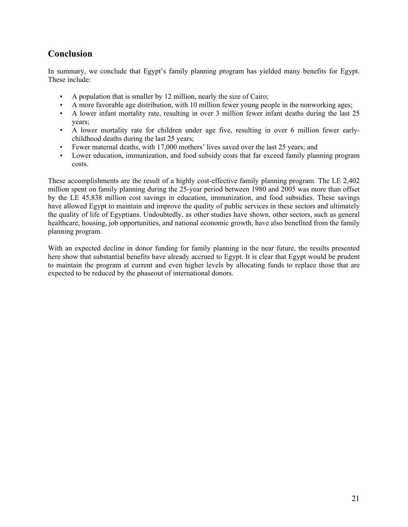## **Conclusion**

In summary, we conclude that Egypt's family planning program has yielded many benefits for Egypt. These include:

- A population that is smaller by 12 million, nearly the size of Cairo;
- A more favorable age distribution, with 10 million fewer young people in the nonworking ages;
- A lower infant mortality rate, resulting in over 3 million fewer infant deaths during the last 25 years;
- A lower mortality rate for children under age five, resulting in over 6 million fewer earlychildhood deaths during the last 25 years;
- Fewer maternal deaths, with 17,000 mothers' lives saved over the last 25 years; and
- Lower education, immunization, and food subsidy costs that far exceed family planning program costs.

These accomplishments are the result of a highly cost-effective family planning program. The LE 2,402 million spent on family planning during the 25-year period between 1980 and 2005 was more than offset by the LE 45,838 million cost savings in education, immunization, and food subsidies. These savings have allowed Egypt to maintain and improve the quality of public services in these sectors and ultimately the quality of life of Egyptians. Undoubtedly, as other studies have shown, other sectors, such as general healthcare, housing, job opportunities, and national economic growth, have also benefited from the family planning program.

With an expected decline in donor funding for family planning in the near future, the results presented here show that substantial benefits have already accrued to Egypt. It is clear that Egypt would be prudent to maintain the program at current and even higher levels by allocating funds to replace those that are expected to be reduced by the phaseout of international donors.